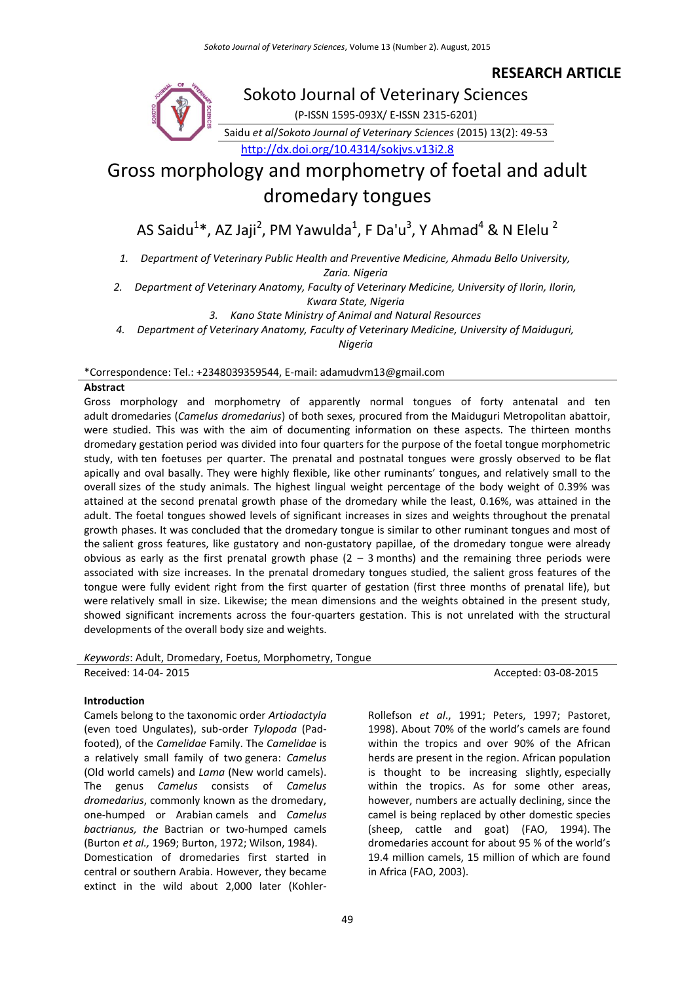# **RESEARCH ARTICLE**



# Sokoto Journal of Veterinary Sciences

(P-ISSN 1595-093X/ E-ISSN 2315-6201) Saidu *et al*/*Sokoto Journal of Veterinary Sciences* (2015) 13(2): 49-53

<http://dx.doi.org/10.4314/sokjvs.v13i2.8>

# Gross morphology and morphometry of foetal and adult dromedary tongues

AS Saidu $^{1*}$ , AZ Jaji $^{2}$ , PM Yawulda $^{1}$ , F Da'u $^{3}$ , Y Ahmad $^{4}$  & N Elelu  $^{2}$ 

*1. Department of Veterinary Public Health and Preventive Medicine, Ahmadu Bello University,* 

*Zaria. Nigeria*

*2. Department of Veterinary Anatomy, Faculty of Veterinary Medicine, University of Ilorin, Ilorin, Kwara State, Nigeria*

*3. Kano State Ministry of Animal and Natural Resources*

*4. Department of Veterinary Anatomy, Faculty of Veterinary Medicine, University of Maiduguri,* 

*Nigeria*

\*Correspondence: Tel.: +2348039359544, E-mail: adamudvm13@gmail.com

# **Abstract**

Gross morphology and morphometry of apparently normal tongues of forty antenatal and ten adult dromedaries (*Camelus dromedarius*) of both sexes, procured from the Maiduguri Metropolitan abattoir, were studied. This was with the aim of documenting information on these aspects. The thirteen months dromedary gestation period was divided into four quarters for the purpose of the foetal tongue morphometric study, with ten foetuses per quarter. The prenatal and postnatal tongues were grossly observed to be flat apically and oval basally. They were highly flexible, like other ruminants' tongues, and relatively small to the overall sizes of the study animals. The highest lingual weight percentage of the body weight of 0.39% was attained at the second prenatal growth phase of the dromedary while the least, 0.16%, was attained in the adult. The foetal tongues showed levels of significant increases in sizes and weights throughout the prenatal growth phases. It was concluded that the dromedary tongue is similar to other ruminant tongues and most of the salient gross features, like gustatory and non-gustatory papillae, of the dromedary tongue were already obvious as early as the first prenatal growth phase  $(2 - 3 \text{ months})$  and the remaining three periods were associated with size increases. In the prenatal dromedary tongues studied, the salient gross features of the tongue were fully evident right from the first quarter of gestation (first three months of prenatal life), but were relatively small in size. Likewise; the mean dimensions and the weights obtained in the present study, showed significant increments across the four-quarters gestation. This is not unrelated with the structural developments of the overall body size and weights.

*Keywords*: Adult, Dromedary, Foetus, Morphometry, Tongue Received: 14-04- 2015 **Accepted: 03-08-2015** Accepted: 03-08-2015

# **Introduction**

Camels belong to the taxonomic order *Artiodactyla* (even toed Ungulates), sub-order *Tylopoda* (Padfooted), of the *Camelidae* Family. The *Camelidae* is a relatively small family of two genera: *Camelus* (Old world camels) and *Lama* (New world camels). The genus *Camelus* consists of *Camelus dromedarius*, commonly known as the dromedary, one-humped or Arabian camels and *Camelus bactrianus, the* Bactrian or two-humped camels (Burton *et al.,* 1969; Burton, 1972; Wilson, 1984). Domestication of dromedaries first started in central or southern Arabia. However, they became extinct in the wild about 2,000 later (KohlerRollefson *et al*., 1991; Peters, 1997; Pastoret, 1998). About 70% of the world's camels are found within the tropics and over 90% of the African herds are present in the region. African population is thought to be increasing slightly, especially within the tropics. As for some other areas, however, numbers are actually declining, since the camel is being replaced by other domestic species (sheep, cattle and goat) (FAO, 1994). The dromedaries account for about 95 % of the world's 19.4 million camels, 15 million of which are found in Africa (FAO, 2003).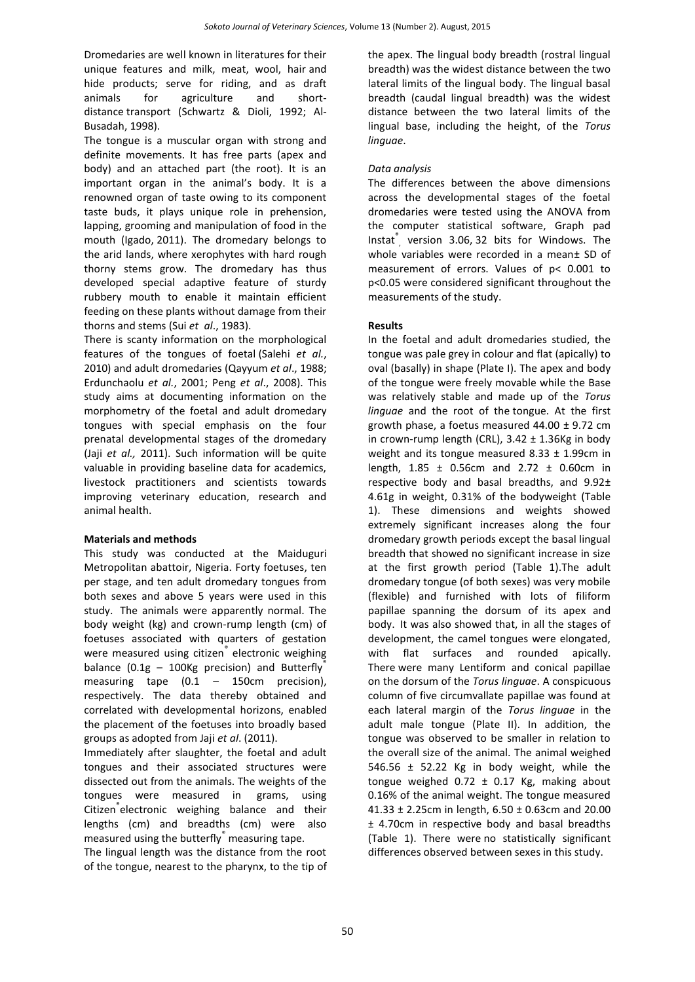Dromedaries are well known in literatures for their unique features and milk, meat, wool, hair and hide products; serve for riding, and as draft animals for agriculture and shortdistance transport (Schwartz & Dioli, 1992; Al-Busadah, 1998).

The tongue is a muscular organ with strong and definite movements. It has free parts (apex and body) and an attached part (the root). It is an important organ in the animal's body. It is a renowned organ of taste owing to its component taste buds, it plays unique role in prehension, lapping, grooming and manipulation of food in the mouth (Igado, 2011). The dromedary belongs to the arid lands, where xerophytes with hard rough thorny stems grow. The dromedary has thus developed special adaptive feature of sturdy rubbery mouth to enable it maintain efficient feeding on these plants without damage from their thorns and stems (Sui *et al*., 1983).

There is scanty information on the morphological features of the tongues of foetal (Salehi *et al.*, 2010) and adult dromedaries (Qayyum *et al*., 1988; Erdunchaolu *et al.*, 2001; Peng *et al*., 2008). This study aims at documenting information on the morphometry of the foetal and adult dromedary tongues with special emphasis on the four prenatal developmental stages of the dromedary (Jaji *et al.,* 2011). Such information will be quite valuable in providing baseline data for academics, livestock practitioners and scientists towards improving veterinary education, research and animal health.

# **Materials and methods**

This study was conducted at the Maiduguri Metropolitan abattoir, Nigeria. Forty foetuses, ten per stage, and ten adult dromedary tongues from both sexes and above 5 years were used in this study. The animals were apparently normal. The body weight (kg) and crown-rump length (cm) of foetuses associated with quarters of gestation were measured using citizen<sup>®</sup> electronic weighing balance (0.1g  $-$  100Kg precision) and Butterfly measuring tape (0.1 – 150cm precision), respectively. The data thereby obtained and correlated with developmental horizons, enabled the placement of the foetuses into broadly based groups as adopted from Jaji *et al*. (2011).

Immediately after slaughter, the foetal and adult tongues and their associated structures were dissected out from the animals. The weights of the tongues were measured in grams, using Citizen® electronic weighing balance and their lengths (cm) and breadths (cm) were also measured using the butterfly measuring tape.

The lingual length was the distance from the root of the tongue, nearest to the pharynx, to the tip of the apex. The lingual body breadth (rostral lingual breadth) was the widest distance between the two lateral limits of the lingual body. The lingual basal breadth (caudal lingual breadth) was the widest distance between the two lateral limits of the lingual base, including the height, of the *Torus linguae*.

# *Data analysis*

The differences between the above dimensions across the developmental stages of the foetal dromedaries were tested using the ANOVA from the computer statistical software, Graph pad Instat $\degree$ , version 3.06, 32 bits for Windows. The whole variables were recorded in a mean± SD of measurement of errors. Values of p< 0.001 to p<0.05 were considered significant throughout the measurements of the study.

# **Results**

In the foetal and adult dromedaries studied, the tongue was pale grey in colour and flat (apically) to oval (basally) in shape (Plate I). The apex and body of the tongue were freely movable while the Base was relatively stable and made up of the *Torus linguae* and the root of the tongue. At the first growth phase, a foetus measured  $44.00 \pm 9.72$  cm in crown-rump length (CRL),  $3.42 \pm 1.36$ Kg in body weight and its tongue measured  $8.33 \pm 1.99$ cm in length,  $1.85 \pm 0.56$ cm and  $2.72 \pm 0.60$ cm in respective body and basal breadths, and 9.92± 4.61g in weight, 0.31% of the bodyweight (Table 1). These dimensions and weights showed extremely significant increases along the four dromedary growth periods except the basal lingual breadth that showed no significant increase in size at the first growth period (Table 1).The adult dromedary tongue (of both sexes) was very mobile (flexible) and furnished with lots of filiform papillae spanning the dorsum of its apex and body. It was also showed that, in all the stages of development, the camel tongues were elongated, with flat surfaces and rounded apically. There were many Lentiform and conical papillae on the dorsum of the *Torus linguae*. A conspicuous column of five circumvallate papillae was found at each lateral margin of the *Torus linguae* in the adult male tongue (Plate II). In addition, the tongue was observed to be smaller in relation to the overall size of the animal. The animal weighed 546.56  $\pm$  52.22 Kg in body weight, while the tongue weighed  $0.72 \pm 0.17$  Kg, making about 0.16% of the animal weight. The tongue measured 41.33 ± 2.25cm in length, 6.50 ± 0.63cm and 20.00 ± 4.70cm in respective body and basal breadths (Table 1). There were no statistically significant differences observed between sexes in this study.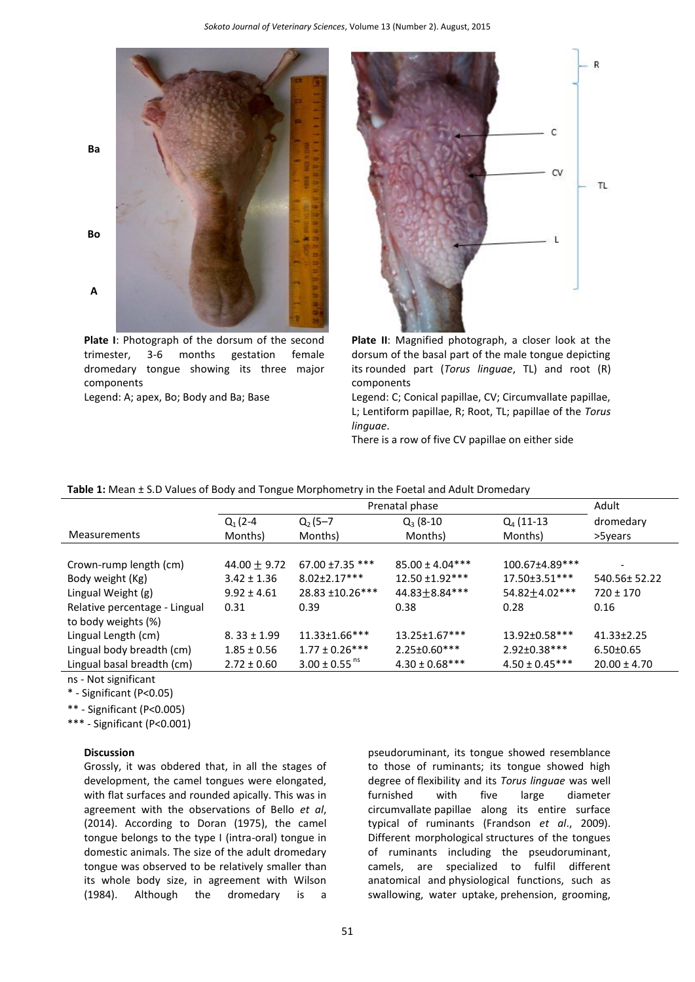

**Plate I**: Photograph of the dorsum of the second trimester, 3-6 months gestation female dromedary tongue showing its three major components



**Plate II**: Magnified photograph, a closer look at the dorsum of the basal part of the male tongue depicting its rounded part (*Torus linguae*, TL) and root (R) components

Legend: A; apex, Bo; Body and Ba; Base Legend: C; Conical papillae, CV; Circumvallate papillae, L; Lentiform papillae, R; Root, TL; papillae of the *Torus linguae*.

There is a row of five CV papillae on either side

|                               | Prenatal phase   |                               |                      |                      | Adult            |
|-------------------------------|------------------|-------------------------------|----------------------|----------------------|------------------|
|                               | $Q_1(2-4)$       | $Q_2(5-7)$                    | $Q_3(8-10)$          | $Q_4$ (11-13         | dromedary        |
| <b>Measurements</b>           | Months)          | Months)                       | Months)              | Months)              | >5years          |
|                               |                  |                               |                      |                      |                  |
| Crown-rump length (cm)        | 44.00 $\pm$ 9.72 | $67.00 \pm 7.35$ ***          | $85.00 \pm 4.04***$  | 100.67±4.89***       |                  |
| Body weight (Kg)              | $3.42 \pm 1.36$  | $8.02 \pm 2.17***$            | $12.50 + 1.92$ ***   | $17.50 \pm 3.51$ *** | 540.56±52.22     |
| Lingual Weight (g)            | $9.92 \pm 4.61$  | 28.83 ±10.26***               | 44.83 ± 8.84***      | 54.82±4.02***        | $720 \pm 170$    |
| Relative percentage - Lingual | 0.31             | 0.39                          | 0.38                 | 0.28                 | 0.16             |
| to body weights (%)           |                  |                               |                      |                      |                  |
| Lingual Length (cm)           | $8.33 \pm 1.99$  | $11.33 \pm 1.66$ ***          | $13.25 \pm 1.67$ *** | 13.92±0.58***        | $41.33 \pm 2.25$ |
| Lingual body breadth (cm)     | $1.85 \pm 0.56$  | $1.77 \pm 0.26***$            | $2.25 \pm 0.60***$   | 2.92±0.38***         | $6.50 \pm 0.65$  |
| Lingual basal breadth (cm)    | $2.72 \pm 0.60$  | $3.00 \pm 0.55$ <sup>ns</sup> | $4.30 \pm 0.68$ ***  | $4.50 \pm 0.45***$   | $20.00 \pm 4.70$ |

ns - Not significant

\* - Significant (P<0.05)

\*\* - Significant (P<0.005)

\*\*\* - Significant (P<0.001)

#### **Discussion**

Grossly, it was obdered that, in all the stages of development, the camel tongues were elongated, with flat surfaces and rounded apically. This was in agreement with the observations of Bello *et al*, (2014). According to Doran (1975), the camel tongue belongs to the type I (intra-oral) tongue in domestic animals. The size of the adult dromedary tongue was observed to be relatively smaller than its whole body size, in agreement with Wilson (1984). Although the dromedary is a

pseudoruminant, its tongue showed resemblance to those of ruminants; its tongue showed high degree of flexibility and its *Torus linguae* was well furnished with five large diameter circumvallate papillae along its entire surface typical of ruminants (Frandson *et al*., 2009). Different morphological structures of the tongues of ruminants including the pseudoruminant, camels, are specialized to fulfil different anatomical and physiological functions, such as swallowing, water uptake, prehension, grooming,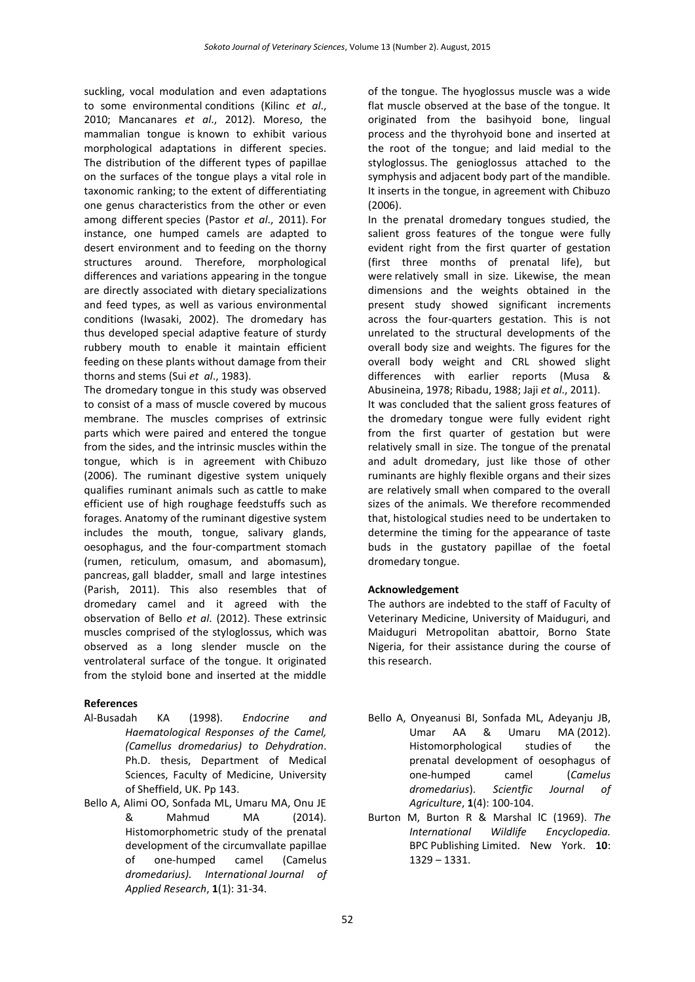suckling, vocal modulation and even adaptations to some environmental conditions (Kilinc *et al*., 2010; Mancanares *et al*., 2012). Moreso, the mammalian tongue is known to exhibit various morphological adaptations in different species. The distribution of the different types of papillae on the surfaces of the tongue plays a vital role in taxonomic ranking; to the extent of differentiating one genus characteristics from the other or even among different species (Pastor *et al*., 2011). For instance, one humped camels are adapted to desert environment and to feeding on the thorny structures around. Therefore, morphological differences and variations appearing in the tongue are directly associated with dietary specializations and feed types, as well as various environmental conditions (Iwasaki, 2002). The dromedary has thus developed special adaptive feature of sturdy rubbery mouth to enable it maintain efficient feeding on these plants without damage from their thorns and stems (Sui *et al*., 1983).

The dromedary tongue in this study was observed to consist of a mass of muscle covered by mucous membrane. The muscles comprises of extrinsic parts which were paired and entered the tongue from the sides, and the intrinsic muscles within the tongue, which is in agreement with Chibuzo (2006). The ruminant digestive system uniquely qualifies ruminant animals such as cattle to make efficient use of high roughage feedstuffs such as forages. Anatomy of the ruminant digestive system includes the mouth, tongue, salivary glands, oesophagus, and the four-compartment stomach (rumen, reticulum, omasum, and abomasum), pancreas, gall bladder, small and large intestines (Parish, 2011). This also resembles that of dromedary camel and it agreed with the observation of Bello *et al*. (2012). These extrinsic muscles comprised of the styloglossus, which was observed as a long slender muscle on the ventrolateral surface of the tongue. It originated from the styloid bone and inserted at the middle

# **References**

- Al-Busadah KA (1998). *Endocrine and Haematological Responses of the Camel, (Camellus dromedarius) to Dehydration*. Ph.D. thesis, Department of Medical Sciences, Faculty of Medicine, University of Sheffield, UK. Pp 143.
- Bello A, Alimi OO, Sonfada ML, Umaru MA, Onu JE & Mahmud MA (2014). Histomorphometric study of the prenatal development of the circumvallate papillae of one-humped camel (Camelus *dromedarius). International Journal of Applied Research*, **1**(1): 31-34.

of the tongue. The hyoglossus muscle was a wide flat muscle observed at the base of the tongue. It originated from the basihyoid bone, lingual process and the thyrohyoid bone and inserted at the root of the tongue; and laid medial to the styloglossus. The genioglossus attached to the symphysis and adjacent body part of the mandible. It inserts in the tongue, in agreement with Chibuzo (2006).

In the prenatal dromedary tongues studied, the salient gross features of the tongue were fully evident right from the first quarter of gestation (first three months of prenatal life), but were relatively small in size. Likewise, the mean dimensions and the weights obtained in the present study showed significant increments across the four-quarters gestation. This is not unrelated to the structural developments of the overall body size and weights. The figures for the overall body weight and CRL showed slight differences with earlier reports (Musa & Abusineina, 1978; Ribadu, 1988; Jaji *et al*., 2011). It was concluded that the salient gross features of the dromedary tongue were fully evident right from the first quarter of gestation but were relatively small in size. The tongue of the prenatal and adult dromedary, just like those of other ruminants are highly flexible organs and their sizes are relatively small when compared to the overall sizes of the animals. We therefore recommended that, histological studies need to be undertaken to determine the timing for the appearance of taste buds in the gustatory papillae of the foetal dromedary tongue.

# **Acknowledgement**

The authors are indebted to the staff of Faculty of Veterinary Medicine, University of Maiduguri, and Maiduguri Metropolitan abattoir, Borno State Nigeria, for their assistance during the course of this research.

- Bello A, Onyeanusi BI, Sonfada ML, Adeyanju JB, Umar AA & Umaru MA (2012). Histomorphological studies of the prenatal development of oesophagus of one-humped camel (*Camelus dromedarius*). *Scientfic Journal of Agriculture*, **1**(4): 100-104.
- Burton M, Burton R & Marshal lC (1969). *The International Wildlife Encyclopedia.* BPC Publishing Limited. New York. **10**: 1329 – 1331.